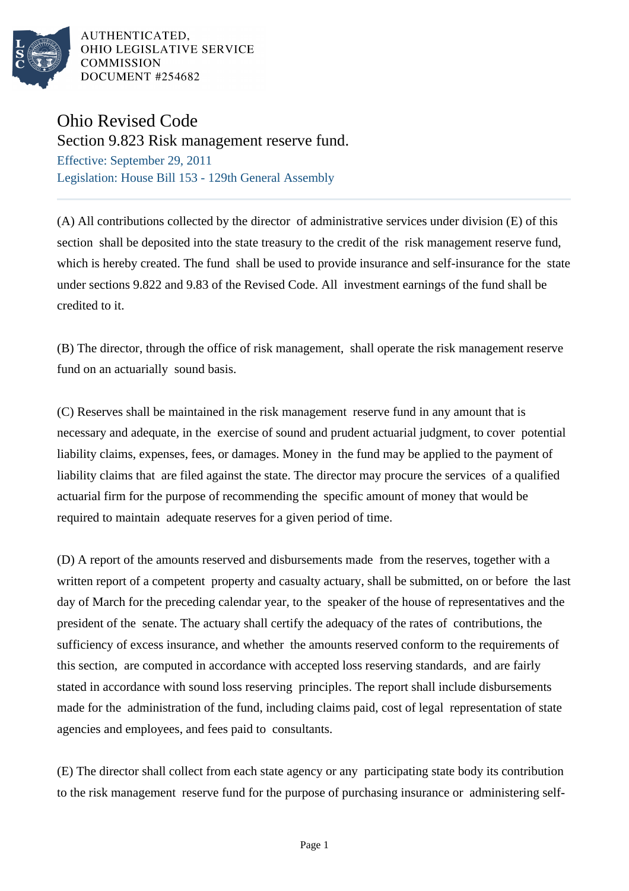

AUTHENTICATED. OHIO LEGISLATIVE SERVICE **COMMISSION** DOCUMENT #254682

## Ohio Revised Code

Section 9.823 Risk management reserve fund.

Effective: September 29, 2011 Legislation: House Bill 153 - 129th General Assembly

(A) All contributions collected by the director of administrative services under division (E) of this section shall be deposited into the state treasury to the credit of the risk management reserve fund, which is hereby created. The fund shall be used to provide insurance and self-insurance for the state under sections 9.822 and 9.83 of the Revised Code. All investment earnings of the fund shall be credited to it.

(B) The director, through the office of risk management, shall operate the risk management reserve fund on an actuarially sound basis.

(C) Reserves shall be maintained in the risk management reserve fund in any amount that is necessary and adequate, in the exercise of sound and prudent actuarial judgment, to cover potential liability claims, expenses, fees, or damages. Money in the fund may be applied to the payment of liability claims that are filed against the state. The director may procure the services of a qualified actuarial firm for the purpose of recommending the specific amount of money that would be required to maintain adequate reserves for a given period of time.

(D) A report of the amounts reserved and disbursements made from the reserves, together with a written report of a competent property and casualty actuary, shall be submitted, on or before the last day of March for the preceding calendar year, to the speaker of the house of representatives and the president of the senate. The actuary shall certify the adequacy of the rates of contributions, the sufficiency of excess insurance, and whether the amounts reserved conform to the requirements of this section, are computed in accordance with accepted loss reserving standards, and are fairly stated in accordance with sound loss reserving principles. The report shall include disbursements made for the administration of the fund, including claims paid, cost of legal representation of state agencies and employees, and fees paid to consultants.

(E) The director shall collect from each state agency or any participating state body its contribution to the risk management reserve fund for the purpose of purchasing insurance or administering self-